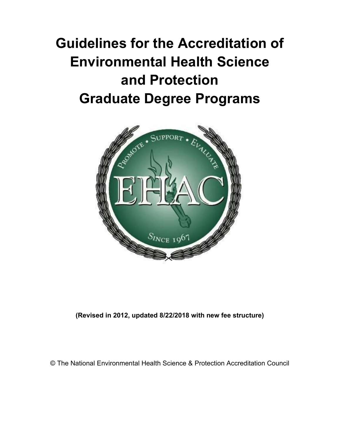# **Guidelines for the Accreditation of Environmental Health Science and Protection Graduate Degree Programs**



**(Revised in 2012, updated 8/22/2018 with new fee structure)**

© The National Environmental Health Science & Protection Accreditation Council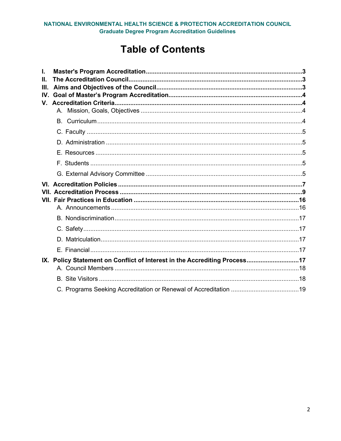# **Table of Contents**

| I.<br>Ш.<br>Ш.    |                                                                           |  |  |  |
|-------------------|---------------------------------------------------------------------------|--|--|--|
| $\mathbf{IV}_{-}$ |                                                                           |  |  |  |
|                   |                                                                           |  |  |  |
|                   |                                                                           |  |  |  |
|                   |                                                                           |  |  |  |
|                   |                                                                           |  |  |  |
|                   |                                                                           |  |  |  |
|                   |                                                                           |  |  |  |
|                   |                                                                           |  |  |  |
|                   |                                                                           |  |  |  |
|                   |                                                                           |  |  |  |
|                   |                                                                           |  |  |  |
|                   |                                                                           |  |  |  |
|                   |                                                                           |  |  |  |
|                   | IX. Policy Statement on Conflict of Interest in the Accrediting Process17 |  |  |  |
|                   |                                                                           |  |  |  |
|                   |                                                                           |  |  |  |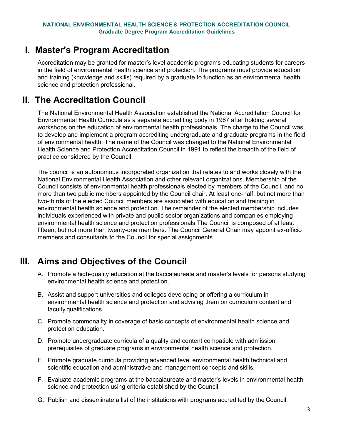### <span id="page-2-0"></span>**I. Master's Program Accreditation**

Accreditation may be granted for master's level academic programs educating students for careers in the field of environmental health science and protection. The programs must provide education and training (knowledge and skills) required by a graduate to function as an environmental health science and protection professional.

# <span id="page-2-1"></span>**II. The Accreditation Council**

The National Environmental Health Association established the National Accreditation Council for Environmental Health Curricula as a separate accrediting body in 1967 after holding several workshops on the education of environmental health professionals. The charge to the Council was to develop and implement a program accrediting undergraduate and graduate programs in the field of environmental health. The name of the Council was changed to the National Environmental Health Science and Protection Accreditation Council in 1991 to reflect the breadth of the field of practice considered by the Council.

The council is an autonomous incorporated organization that relates to and works closely with the National Environmental Health Association and other relevant organizations. Membership of the Council consists of environmental health professionals elected by members of the Council, and no more than two public members appointed by the Council chair. At least one-half, but not more than two-thirds of the elected Council members are associated with education and training in environmental health science and protection. The remainder of the elected membership includes individuals experienced with private and public sector organizations and companies employing environmental health science and protection professionals The Council is composed of at least fifteen, but not more than twenty-one members. The Council General Chair may appoint ex-officio members and consultants to the Council for special assignments.

# <span id="page-2-2"></span>**III. Aims and Objectives of the Council**

- A. Promote a high-quality education at the baccalaureate and master's levels for persons studying environmental health science and protection.
- B. Assist and support universities and colleges developing or offering a curriculum in environmental health science and protection and advising them on curriculum content and faculty qualifications.
- C. Promote commonality in coverage of basic concepts of environmental health science and protection education.
- D. Promote undergraduate curricula of a quality and content compatible with admission prerequisites of graduate programs in environmental health science and protection.
- E. Promote graduate curricula providing advanced level environmental health technical and scientific education and administrative and management concepts and skills.
- F. Evaluate academic programs at the baccalaureate and master's levels in environmental health science and protection using criteria established by the Council.
- G. Publish and disseminate a list of the institutions with programs accredited by the Council.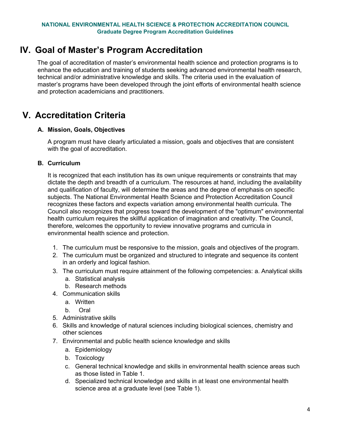# <span id="page-3-0"></span>**IV. Goal of Master's Program Accreditation**

The goal of accreditation of master's environmental health science and protection programs is to enhance the education and training of students seeking advanced environmental health research, technical and/or administrative knowledge and skills. The criteria used in the evaluation of master's programs have been developed through the joint efforts of environmental health science and protection academicians and practitioners.

# <span id="page-3-2"></span><span id="page-3-1"></span>**V. Accreditation Criteria**

### **A. Mission, Goals, Objectives**

A program must have clearly articulated a mission, goals and objectives that are consistent with the goal of accreditation.

#### <span id="page-3-3"></span>**B. Curriculum**

It is recognized that each institution has its own unique requirements or constraints that may dictate the depth and breadth of a curriculum. The resources at hand, including the availability and qualification of faculty, will determine the areas and the degree of emphasis on specific subjects. The National Environmental Health Science and Protection Accreditation Council recognizes these factors and expects variation among environmental health curricula. The Council also recognizes that progress toward the development of the "optimum" environmental health curriculum requires the skillful application of imagination and creativity. The Council, therefore, welcomes the opportunity to review innovative programs and curricula in environmental health science and protection.

- 1. The curriculum must be responsive to the mission, goals and objectives of the program.
- 2. The curriculum must be organized and structured to integrate and sequence its content in an orderly and logical fashion.
- 3. The curriculum must require attainment of the following competencies: a. Analytical skills
	- a. Statistical analysis
	- b. Research methods
- 4. Communication skills
	- a. Written
	- b. Oral
- 5. Administrative skills
- 6. Skills and knowledge of natural sciences including biological sciences, chemistry and other sciences
- 7. Environmental and public health science knowledge and skills
	- a. Epidemiology
	- b. Toxicology
	- c. General technical knowledge and skills in environmental health science areas such as those listed in Table 1.
	- d. Specialized technical knowledge and skills in at least one environmental health science area at a graduate level (see Table 1).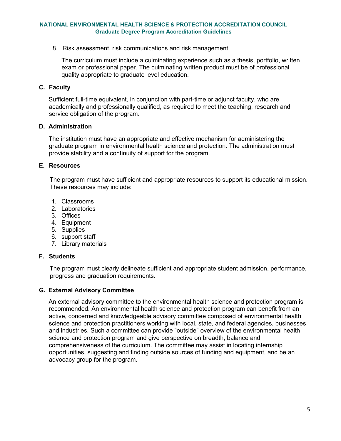8. Risk assessment, risk communications and risk management.

The curriculum must include a culminating experience such as a thesis, portfolio, written exam or professional paper. The culminating written product must be of professional quality appropriate to graduate level education.

#### <span id="page-4-0"></span>**C. Faculty**

Sufficient full-time equivalent, in conjunction with part-time or adjunct faculty, who are academically and professionally qualified, as required to meet the teaching, research and service obligation of the program.

#### <span id="page-4-1"></span>**D. Administration**

The institution must have an appropriate and effective mechanism for administering the graduate program in environmental health science and protection. The administration must provide stability and a continuity of support for the program.

#### <span id="page-4-2"></span>**E. Resources**

The program must have sufficient and appropriate resources to support its educational mission. These resources may include:

- 1. Classrooms
- 2. Laboratories
- 3. Offices
- 4. Equipment
- 5. Supplies
- 6. support staff
- 7. Library materials

#### <span id="page-4-3"></span>**F. Students**

The program must clearly delineate sufficient and appropriate student admission, performance, progress and graduation requirements.

#### <span id="page-4-4"></span>**G. External Advisory Committee**

An external advisory committee to the environmental health science and protection program is recommended. An environmental health science and protection program can benefit from an active, concerned and knowledgeable advisory committee composed of environmental health science and protection practitioners working with local, state, and federal agencies, businesses and industries. Such a committee can provide "outside" overview of the environmental health science and protection program and give perspective on breadth, balance and comprehensiveness of the curriculum. The committee may assist in locating internship opportunities, suggesting and finding outside sources of funding and equipment, and be an advocacy group for the program.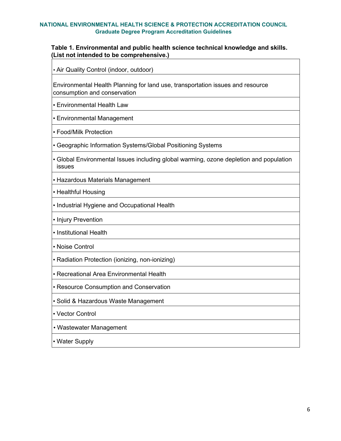#### **Table 1. Environmental and public health science technical knowledge and skills. (List not intended to be comprehensive.)**

• Air Quality Control (indoor, outdoor)

Environmental Health Planning for land use, transportation issues and resource consumption and conservation

• Environmental Health Law

• Environmental Management

• Food/Milk Protection

• Geographic Information Systems/Global Positioning Systems

• Global Environmental Issues including global warming, ozone depletion and population issues

• Hazardous Materials Management

• Healthful Housing

• Industrial Hygiene and Occupational Health

• Injury Prevention

• Institutional Health

• Noise Control

• Radiation Protection (ionizing, non-ionizing)

• Recreational Area Environmental Health

• Resource Consumption and Conservation

• Solid & Hazardous Waste Management

• Vector Control

• Wastewater Management

• Water Supply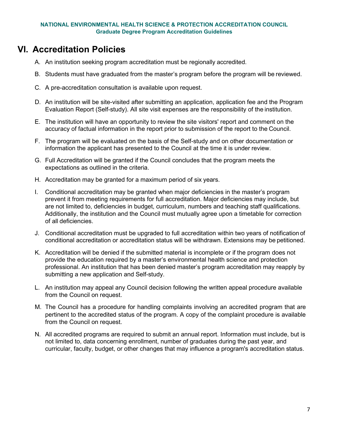# <span id="page-6-0"></span>**VI. Accreditation Policies**

- A. An institution seeking program accreditation must be regionally accredited.
- B. Students must have graduated from the master's program before the program will be reviewed.
- C. A pre-accreditation consultation is available upon request.
- D. An institution will be site-visited after submitting an application, application fee and the Program Evaluation Report (Self-study). All site visit expenses are the responsibility of the institution.
- E. The institution will have an opportunity to review the site visitors' report and comment on the accuracy of factual information in the report prior to submission of the report to the Council.
- F. The program will be evaluated on the basis of the Self-study and on other documentation or information the applicant has presented to the Council at the time it is under review.
- G. Full Accreditation will be granted if the Council concludes that the program meets the expectations as outlined in the criteria.
- H. Accreditation may be granted for a maximum period of six years.
- I. Conditional accreditation may be granted when major deficiencies in the master's program prevent it from meeting requirements for full accreditation. Major deficiencies may include, but are not limited to, deficiencies in budget, curriculum, numbers and teaching staff qualifications. Additionally, the institution and the Council must mutually agree upon a timetable for correction of all deficiencies.
- J. Conditional accreditation must be upgraded to full accreditation within two years of notification of conditional accreditation or accreditation status will be withdrawn. Extensions may be petitioned.
- K. Accreditation will be denied if the submitted material is incomplete or if the program does not provide the education required by a master's environmental health science and protection professional. An institution that has been denied master's program accreditation may reapply by submitting a new application and Self-study.
- L. An institution may appeal any Council decision following the written appeal procedure available from the Council on request.
- M. The Council has a procedure for handling complaints involving an accredited program that are pertinent to the accredited status of the program. A copy of the complaint procedure is available from the Council on request.
- N. All accredited programs are required to submit an annual report. Information must include, but is not limited to, data concerning enrollment, number of graduates during the past year, and curricular, faculty, budget, or other changes that may influence a program's accreditation status.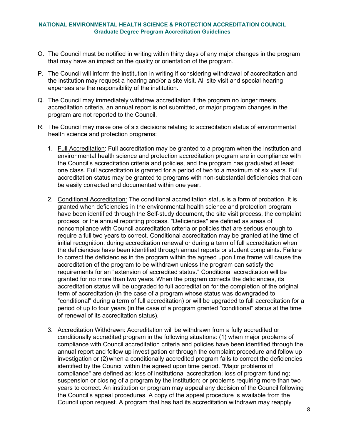- O. The Council must be notified in writing within thirty days of any major changes in the program that may have an impact on the quality or orientation of the program.
- P. The Council will inform the institution in writing if considering withdrawal of accreditation and the institution may request a hearing and/or a site visit. All site visit and special hearing expenses are the responsibility of the institution.
- Q. The Council may immediately withdraw accreditation if the program no longer meets accreditation criteria, an annual report is not submitted, or major program changes in the program are not reported to the Council.
- R. The Council may make one of six decisions relating to accreditation status of environmental health science and protection programs:
	- 1. Full Accreditation: Full accreditation may be granted to a program when the institution and environmental health science and protection accreditation program are in compliance with the Council's accreditation criteria and policies, and the program has graduated at least one class. Full accreditation is granted for a period of two to a maximum of six years. Full accreditation status may be granted to programs with non-substantial deficiencies that can be easily corrected and documented within one year.
	- 2. Conditional Accreditation: The conditional accreditation status is a form of probation. It is granted when deficiencies in the environmental health science and protection program have been identified through the Self-study document, the site visit process, the complaint process, or the annual reporting process. "Deficiencies" are defined as areas of noncompliance with Council accreditation criteria or policies that are serious enough to require a full two years to correct. Conditional accreditation may be granted at the time of initial recognition, during accreditation renewal or during a term of full accreditation when the deficiencies have been identified through annual reports or student complaints. Failure to correct the deficiencies in the program within the agreed upon time frame will cause the accreditation of the program to be withdrawn unless the program can satisfy the requirements for an "extension of accredited status." Conditional accreditation will be granted for no more than two years. When the program corrects the deficiencies, its accreditation status will be upgraded to full accreditation for the completion of the original term of accreditation (in the case of a program whose status was downgraded to "conditional" during a term of full accreditation) or will be upgraded to full accreditation for a period of up to four years (in the case of a program granted "conditional" status at the time of renewal of its accreditation status).
	- 3. Accreditation Withdrawn: Accreditation will be withdrawn from a fully accredited or conditionally accredited program in the following situations: (1) when major problems of compliance with Council accreditation criteria and policies have been identified through the annual report and follow up investigation or through the complaint procedure and follow up investigation or (2) when a conditionally accredited program fails to correct the deficiencies identified by the Council within the agreed upon time period. "Major problems of compliance" are defined as: loss of institutional accreditation; loss of program funding; suspension or closing of a program by the institution; or problems requiring more than two years to correct. An institution or program may appeal any decision of the Council following the Council's appeal procedures. A copy of the appeal procedure is available from the Council upon request. A program that has had its accreditation withdrawn may reapply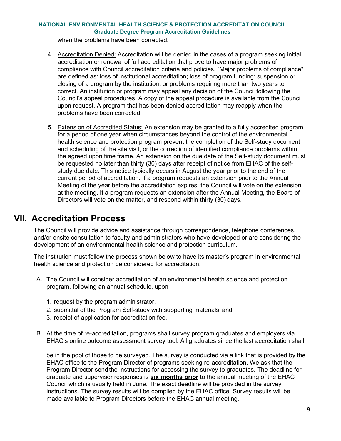when the problems have been corrected.

- 4. Accreditation Denied: Accreditation will be denied in the cases of a program seeking initial accreditation or renewal of full accreditation that prove to have major problems of compliance with Council accreditation criteria and policies. "Major problems of compliance" are defined as: loss of institutional accreditation; loss of program funding; suspension or closing of a program by the institution; or problems requiring more than two years to correct. An institution or program may appeal any decision of the Council following the Council's appeal procedures. A copy of the appeal procedure is available from the Council upon request. A program that has been denied accreditation may reapply when the problems have been corrected.
- 5. Extension of Accredited Status: An extension may be granted to a fully accredited program for a period of one year when circumstances beyond the control of the environmental health science and protection program prevent the completion of the Self-study document and scheduling of the site visit, or the correction of identified compliance problems within the agreed upon time frame. An extension on the due date of the Self-study document must be requested no later than thirty (30) days after receipt of notice from EHAC of the selfstudy due date. This notice typically occurs in August the year prior to the end of the current period of accreditation. If a program requests an extension prior to the Annual Meeting of the year before the accreditation expires, the Council will vote on the extension at the meeting. If a program requests an extension after the Annual Meeting, the Board of Directors will vote on the matter, and respond within thirty (30) days.

# <span id="page-8-0"></span>**VII. Accreditation Process**

The Council will provide advice and assistance through correspondence, telephone conferences, and/or onsite consultation to faculty and administrators who have developed or are considering the development of an environmental health science and protection curriculum.

The institution must follow the process shown below to have its master's program in environmental health science and protection be considered for accreditation.

- A. The Council will consider accreditation of an environmental health science and protection program, following an annual schedule, upon
	- 1. request by the program administrator,
	- 2. submittal of the Program Self-study with supporting materials, and
	- 3. receipt of application for accreditation fee.
- B. At the time of re-accreditation, programs shall survey program graduates and employers via EHAC's online outcome assessment survey tool. All graduates since the last accreditation shall

be in the pool of those to be surveyed. The survey is conducted via a link that is provided by the EHAC office to the Program Director of programs seeking re-accreditation. We ask that the Program Director send the instructions for accessing the survey to graduates. The deadline for graduate and supervisor responses is **six months prior** to the annual meeting of the EHAC Council which is usually held in June. The exact deadline will be provided in the survey instructions. The survey results will be compiled by the EHAC office. Survey results will be made available to Program Directors before the EHAC annual meeting.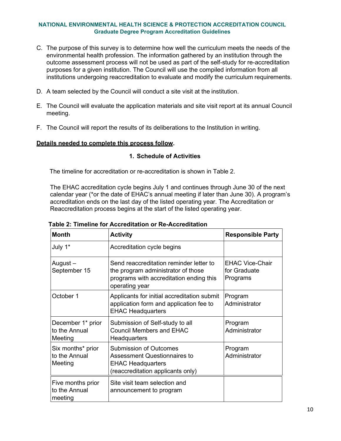- C. The purpose of this survey is to determine how well the curriculum meets the needs of the environmental health profession. The information gathered by an institution through the outcome assessment process will not be used as part of the self-study for re-accreditation purposes for a given institution. The Council will use the compiled information from all institutions undergoing reaccreditation to evaluate and modify the curriculum requirements.
- D. A team selected by the Council will conduct a site visit at the institution.
- E. The Council will evaluate the application materials and site visit report at its annual Council meeting.
- F. The Council will report the results of its deliberations to the Institution in writing.

#### **Details needed to complete this process follow.**

#### **1. Schedule of Activities**

The timeline for accreditation or re-accreditation is shown in Table 2.

The EHAC accreditation cycle begins July 1 and continues through June 30 of the next calendar year (\*or the date of EHAC's annual meeting if later than June 30). A program's accreditation ends on the last day of the listed operating year. The Accreditation or Reaccreditation process begins at the start of the listed operating year.

| <b>Month</b>                                  | <b>Activity</b>                                                                                                                            | <b>Responsible Party</b>                           |
|-----------------------------------------------|--------------------------------------------------------------------------------------------------------------------------------------------|----------------------------------------------------|
| July 1*                                       | Accreditation cycle begins                                                                                                                 |                                                    |
| August –<br>September 15                      | Send reaccreditation reminder letter to<br>the program administrator of those<br>programs with accreditation ending this<br>operating year | <b>EHAC Vice-Chair</b><br>for Graduate<br>Programs |
| October 1                                     | Applicants for initial accreditation submit<br>application form and application fee to<br><b>EHAC Headquarters</b>                         | Program<br>Administrator                           |
| December 1* prior<br>to the Annual<br>Meeting | Submission of Self-study to all<br><b>Council Members and EHAC</b><br>Headquarters                                                         | Program<br>Administrator                           |
| Six months* prior<br>to the Annual<br>Meeting | <b>Submission of Outcomes</b><br>Assessment Questionnaires to<br><b>EHAC Headquarters</b><br>(reaccreditation applicants only)             | Program<br>Administrator                           |
| Five months prior<br>to the Annual<br>meeting | Site visit team selection and<br>announcement to program                                                                                   |                                                    |

**Table 2: Timeline for Accreditation or Re-Accreditation**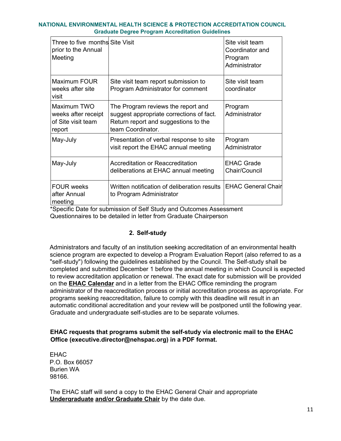| Three to five months Site Visit<br>prior to the Annual<br>Meeting  |                                                                                                                                             | Site visit team<br>Coordinator and<br>Program<br>Administrator |
|--------------------------------------------------------------------|---------------------------------------------------------------------------------------------------------------------------------------------|----------------------------------------------------------------|
| Maximum FOUR<br>weeks after site<br>visit                          | Site visit team report submission to<br>Program Administrator for comment                                                                   | Site visit team<br>coordinator                                 |
| Maximum TWO<br>weeks after receipt<br>of Site visit team<br>report | The Program reviews the report and<br>suggest appropriate corrections of fact.<br>Return report and suggestions to the<br>team Coordinator. | Program<br>Administrator                                       |
| May-July                                                           | Presentation of verbal response to site<br>visit report the EHAC annual meeting                                                             | Program<br>Administrator                                       |
| May-July                                                           | Accreditation or Reaccreditation<br>deliberations at EHAC annual meeting                                                                    | <b>EHAC Grade</b><br>Chair/Council                             |
| <b>FOUR weeks</b><br>after Annual<br>meeting                       | Written notification of deliberation results<br>to Program Administrator                                                                    | <b>EHAC General Chair</b>                                      |

\*Specific Date for submission of Self Study and Outcomes Assessment Questionnaires to be detailed in letter from Graduate Chairperson

### **2. Self-study**

Administrators and faculty of an institution seeking accreditation of an environmental health science program are expected to develop a Program Evaluation Report (also referred to as a "self-study") following the guidelines established by the Council. The Self-study shall be completed and submitted December 1 before the annual meeting in which Council is expected to review accreditation application or renewal. The exact date for submission will be provided on [the](http://www.ehacoffice.org/council/members.php) **[EHAC Calendar](http://www.ehacoffice.org/council/members.php)** and in a letter from the EHAC Office reminding the program administrator of the reaccreditation process or initial accreditation process as appropriate. For programs seeking reaccreditation, failure to comply with this deadline will result in an automatic conditional accreditation and your review will be postponed until the following year. Graduate and undergraduate self-studies are to be separate volumes.

### **EHAC requests that programs submit the self-study via electronic mail to the EHAC Office (executive.director@nehspac.org) in a PDF format.**

EHAC P.O. Box 66057 Burien WA 98166.

The EHAC staff will send a copy to the EHAC General Chair and appropria[te](http://www.ehacoffice.org/council/members.php)  **[Undergraduate](http://www.ehacoffice.org/council/members.php) [and/or Graduate Chair](http://www.ehacoffice.org/council/members.php)** [by](http://www.ehacoffice.org/council/members.php) the date due.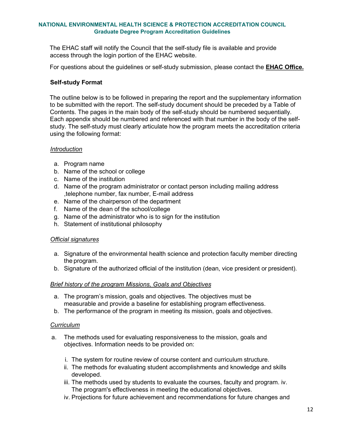The EHAC staff will notify the Council that the self-study file is available and provide access through the login portion of the EHAC website.

For questions about the guidelines or self-study submission, please contact t[he](http://www.ehacoffice.org/contact) **[EHAC Of](http://www.ehacoffice.org/contact)fice.**

#### **Self-study Format**

The outline below is to be followed in preparing the report and the supplementary information to be submitted with the report. The self-study document should be preceded by a Table of Contents. The pages in the main body of the self-study should be numbered sequentially. Each appendix should be numbered and referenced with that number in the body of the selfstudy. The self-study must clearly articulate how the program meets the accreditation criteria using the following format:

#### *Introduction*

- a. Program name
- b. Name of the school or college
- c. Name of the institution
- d. Name of the program administrator or contact person including mailing address ,telephone number, fax number, E-mail address
- e. Name of the chairperson of the department
- f. Name of the dean of the school/college
- g. Name of the administrator who is to sign for the institution
- h. Statement of institutional philosophy

#### *Official signatures*

- a. Signature of the environmental health science and protection faculty member directing the program.
- b. Signature of the authorized official of the institution (dean, vice president or president).

#### *Brief history of the program Missions, Goals and Objectives*

- a. The program's mission, goals and objectives. The objectives must be measurable and provide a baseline for establishing program effectiveness.
- b. The performance of the program in meeting its mission, goals and objectives.

#### *Curriculum*

- a. The methods used for evaluating responsiveness to the mission, goals and objectives. Information needs to be provided on:
	- i. The system for routine review of course content and curriculum structure.
	- ii. The methods for evaluating student accomplishments and knowledge and skills developed.
	- iii. The methods used by students to evaluate the courses, faculty and program. iv. The program's effectiveness in meeting the educational objectives.
	- iv. Projections for future achievement and recommendations for future changes and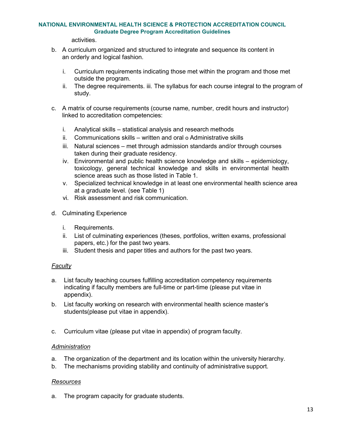### **NATIONAL ENVIRONMENTAL HEALTH SCIENCE & PROTECTION ACCREDITATION COUNCIL**

**Graduate Degree Program Accreditation Guidelines**

activities.

- b. A curriculum organized and structured to integrate and sequence its content in an orderly and logical fashion.
	- i. Curriculum requirements indicating those met within the program and those met outside the program.
	- ii. The degree requirements. iii. The syllabus for each course integral to the program of study.
- c. A matrix of course requirements (course name, number, credit hours and instructor) linked to accreditation competencies:
	- i. Analytical skills statistical analysis and research methods
	- ii. Communications skills written and oral o Administrative skills
	- iii. Natural sciences met through admission standards and/or through courses taken during their graduate residency.
	- iv. Environmental and public health science knowledge and skills epidemiology, toxicology, general technical knowledge and skills in environmental health science areas such as those listed in Table 1.
	- v. Specialized technical knowledge in at least one environmental health science area at a graduate level. (see Table 1)
	- vi. Risk assessment and risk communication.
- d. Culminating Experience
	- i. Requirements.
	- ii. List of culminating experiences (theses, portfolios, written exams, professional papers, etc.) for the past two years.
	- iii. Student thesis and paper titles and authors for the past two years.

### *Faculty*

- a. List faculty teaching courses fulfilling accreditation competency requirements indicating if faculty members are full-time or part-time (please put vitae in appendix).
- b. List faculty working on research with environmental health science master's students(please put vitae in appendix).
- c. Curriculum vitae (please put vitae in appendix) of program faculty.

#### *Administration*

- a. The organization of the department and its location within the university hierarchy.
- b. The mechanisms providing stability and continuity of administrative support.

#### *Resources*

a. The program capacity for graduate students.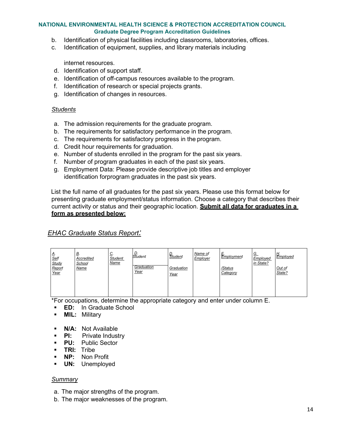- b. Identification of physical facilities including classrooms, laboratories, offices.
- c. Identification of equipment, supplies, and library materials including

internet resources.

- d. Identification of support staff.
- e. Identification of off-campus resources available to the program.
- f. Identification of research or special projects grants.
- g. Identification of changes in resources.

#### *Students*

- a. The admission requirements for the graduate program.
- b. The requirements for satisfactory performance in the program.
- c. The requirements for satisfactory progress in the program.
- d. Credit hour requirements for graduation.
- e. Number of students enrolled in the program for the past six years.
- f. Number of program graduates in each of the past six years.
- g. Employment Data: Please provide descriptive job titles and employer identification forprogram graduates in the past six years.

List the full name of all graduates for the past six years. Please use this format below for presenting graduate employment/status information. Choose a category that describes their current activity or status and their geographic location. **Submit all data for graduates in a form as presented below:**

#### *EHAC Graduate Status Report:*

| Д.<br><b>Self</b><br>Study<br>Report<br>Year | <u>В</u> .<br>Accredited<br>School<br>Name | <u>ب</u><br><b>Student</b><br><b>Name</b> | student<br>Graduation<br>Year | <u>D.</u><br>Student<br>Graduation<br>Year | Name of<br>Employer | ⊢<br>$E$ mployment<br>/Status<br>Category | G.<br>Employed<br>in State? | H.<br>Employed<br>Out of<br>State? |
|----------------------------------------------|--------------------------------------------|-------------------------------------------|-------------------------------|--------------------------------------------|---------------------|-------------------------------------------|-----------------------------|------------------------------------|
|                                              |                                            |                                           |                               |                                            |                     |                                           |                             |                                    |

\*For occupations, determine the appropriate category and enter under column E.

- **ED:** In Graduate School
- **MIL:** Military
- **N/A: Not Available**
- **PI:** Private Industry
- **PU:** Public Sector
- **TRI:** Tribe
- **NP:** Non Profit
- **UN:** Unemployed

#### *Summary*

- a. The major strengths of the program.
- b. The major weaknesses of the program.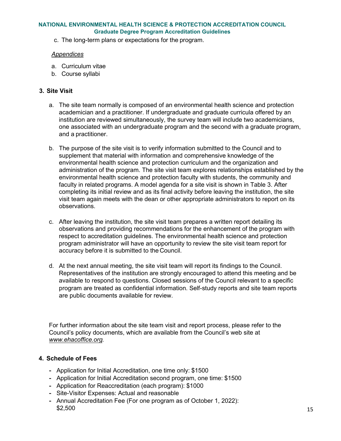c. The long-term plans or expectations for the program.

#### *Appendices*

- a. Curriculum vitae
- b. Course syllabi

#### **3. Site Visit**

- a. The site team normally is composed of an environmental health science and protection academician and a practitioner. If undergraduate and graduate curricula offered by an institution are reviewed simultaneously, the survey team will include two academicians, one associated with an undergraduate program and the second with a graduate program, and a practitioner.
- b. The purpose of the site visit is to verify information submitted to the Council and to supplement that material with information and comprehensive knowledge of the environmental health science and protection curriculum and the organization and administration of the program. The site visit team explores relationships established by the environmental health science and protection faculty with students, the community and faculty in related programs. A model agenda for a site visit is shown in Table 3. After completing its initial review and as its final activity before leaving the institution, the site visit team again meets with the dean or other appropriate administrators to report on its observations.
- c. After leaving the institution, the site visit team prepares a written report detailing its observations and providing recommendations for the enhancement of the program with respect to accreditation guidelines. The environmental health science and protection program administrator will have an opportunity to review the site visit team report for accuracy before it is submitted to the Council.
- d. At the next annual meeting, the site visit team will report its findings to the Council. Representatives of the institution are strongly encouraged to attend this meeting and be available to respond to questions. Closed sessions of the Council relevant to a specific program are treated as confidential information. Self-study reports and site team reports are public documents available for review.

For further information about the site team visit and report process, please refer to the Council's policy documents, which are available from the Council's web site at *[www.ehacoffice.org.](http://www.ehacoffice.org/)*

#### **4. Schedule of Fees**

- **-** Application for Initial Accreditation, one time only: \$1500
- **-** Application for Initial Accreditation second program, one time: \$1500
- **-** Application for Reaccreditation (each program): \$1000
- **-** Site-Visitor Expenses: Actual and reasonable
- **-** Annual Accreditation Fee (For one program as of October 1, 2022): \$2,500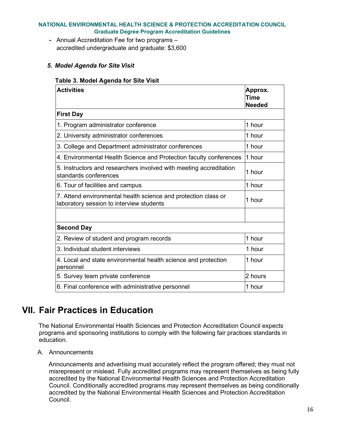**-** Annual Accreditation Fee for two programs – accredited undergraduate and graduate: \$3,600

### *5. Model Agenda for Site Visit*

#### **Table 3. Model Agenda for Site Visit**

| <b>Activities</b>                                                                                          | Approx.<br>Time<br><b>Needed</b> |
|------------------------------------------------------------------------------------------------------------|----------------------------------|
| <b>First Day</b>                                                                                           |                                  |
| 1. Program administrator conference                                                                        | 1 hour                           |
| 2. University administrator conferences                                                                    | 1 hour                           |
| 3. College and Department administrator conferences                                                        | 1 hour                           |
| 4. Environmental Health Science and Protection faculty conferences                                         | 1 hour                           |
| 5. Instructors and researchers involved with meeting accreditation<br>standards conferences                | 1 hour                           |
| 6. Tour of facilities and campus                                                                           | 1 hour                           |
| 7. Attend environmental health science and protection class or<br>laboratory session to interview students | 1 hour                           |
|                                                                                                            |                                  |
| <b>Second Day</b>                                                                                          |                                  |
| 2. Review of student and program records                                                                   | 1 hour                           |
| 3. Individual student interviews                                                                           | 1 hour                           |
| 4. Local and state environmental health science and protection<br>personnel                                | 1 hour                           |
| 5. Survey team private conference                                                                          | 2 hours                          |
| 6. Final conference with administrative personnel                                                          | 1 hour                           |

# <span id="page-15-0"></span>**VII. Fair Practices in Education**

The National Environmental Health Sciences and Protection Accreditation Council expects programs and sponsoring institutions to comply with the following fair practices standards in education.

<span id="page-15-1"></span>A. Announcements

Announcements and advertising must accurately reflect the program offered; they must not misrepresent or mislead. Fully accredited programs may represent themselves as being fully accredited by the National Environmental Health Sciences and Protection Accreditation Council. Conditionally accredited programs may represent themselves as being conditionally accredited by the National Environmental Health Sciences and Protection Accreditation Council.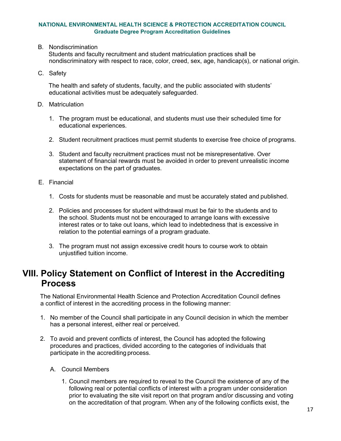<span id="page-16-0"></span>B. Nondiscrimination

Students and faculty recruitment and student matriculation practices shall be nondiscriminatory with respect to race, color, creed, sex, age, handicap(s), or national origin.

<span id="page-16-1"></span>C. Safety

The health and safety of students, faculty, and the public associated with students' educational activities must be adequately safeguarded.

- <span id="page-16-2"></span>D. Matriculation
	- 1. The program must be educational, and students must use their scheduled time for educational experiences.
	- 2. Student recruitment practices must permit students to exercise free choice of programs.
	- 3. Student and faculty recruitment practices must not be misrepresentative. Over statement of financial rewards must be avoided in order to prevent unrealistic income expectations on the part of graduates.
- <span id="page-16-3"></span>E. Financial
	- 1. Costs for students must be reasonable and must be accurately stated and published.
	- 2. Policies and processes for student withdrawal must be fair to the students and to the school. Students must not be encouraged to arrange loans with excessive interest rates or to take out loans, which lead to indebtedness that is excessive in relation to the potential earnings of a program graduate.
	- 3. The program must not assign excessive credit hours to course work to obtain unjustified tuition income.

# <span id="page-16-4"></span>**VIII. Policy Statement on Conflict of Interest in the Accrediting Process**

The National Environmental Health Science and Protection Accreditation Council defines a conflict of interest in the accrediting process in the following manner:

- 1. No member of the Council shall participate in any Council decision in which the member has a personal interest, either real or perceived.
- <span id="page-16-5"></span>2. To avoid and prevent conflicts of interest, the Council has adopted the following procedures and practices, divided according to the categories of individuals that participate in the accrediting process.
	- A. Council Members
		- 1. Council members are required to reveal to the Council the existence of any of the following real or potential conflicts of interest with a program under consideration prior to evaluating the site visit report on that program and/or discussing and voting on the accreditation of that program. When any of the following conflicts exist, the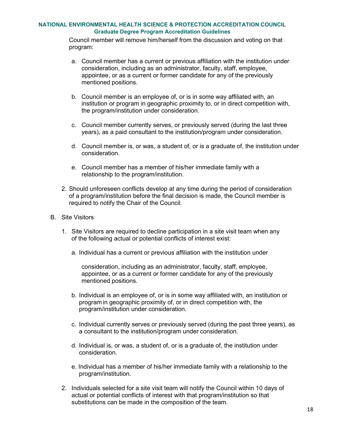Council member will remove him/herself from the discussion and voting on that program:

- a. Council member has a current or previous affiliation with the institution under consideration, including as an administrator, faculty, staff, employee, appointee, or as a current or former candidate for any of the previously mentioned positions.
- b. Council member is an employee of, or is in some way affiliated with, an institution or program in geographic proximity to, or in direct competition with, the program/institution under consideration.
- c. Council member currently serves, or previously served (during the last three years), as a paid consultant to the institution/program under consideration.
- d. Council member is, or was, a student of, or is a graduate of, the institution under consideration.
- e. Council member has a member of his/her immediate family with a relationship to the program/institution.
- 2. Should unforeseen conflicts develop at any time during the period of consideration of a program/institution before the final decision is made, the Council member is required to notify the Chair of the Council.
- <span id="page-17-0"></span>B. Site Visitors
	- 1. Site Visitors are required to decline participation in a site visit team when any of the following actual or potential conflicts of interest exist:
		- a. Individual has a current or previous affiliation with the institution under

consideration, including as an administrator, faculty, staff, employee, appointee, or as a current or former candidate for any of the previously mentioned positions.

- b. Individual is an employee of, or is in some way affiliated with, an institution or program in geographic proximity of, or in direct competition with, the program/institution under consideration.
- c. Individual currently serves or previously served (during the past three years), as a consultant to the institution/program under consideration.
- d. Individual is, or was, a student of, or is a graduate of, the institution under consideration.
- e. Individual has a member of his/her immediate family with a relationship to the program/institution.
- 2. Individuals selected for a site visit team will notify the Council within 10 days of actual or potential conflicts of interest with that program/institution so that substitutions can be made in the composition of the team.